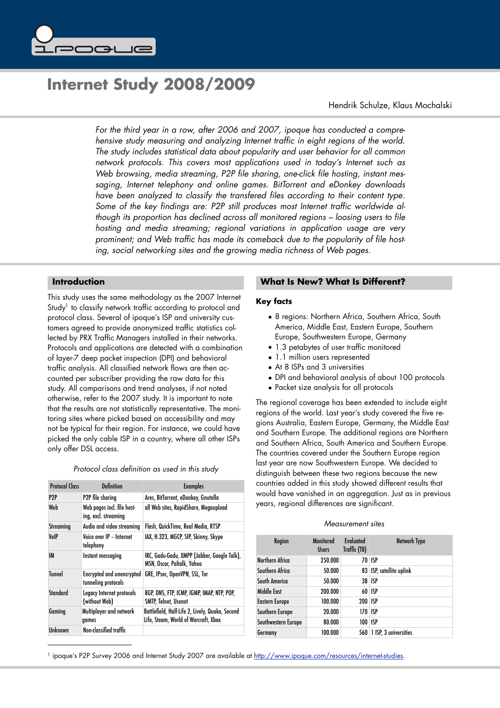

# **Internet Study 2008/2009**

Hendrik Schulze, Klaus Mochalski

*For the third year in a row, after 2006 and 2007, ipoque has conducted a comprehensive study measuring and analyzing Internet traffic in eight regions of the world. The study includes statistical data about popularity and user behavior for all common network protocols. This covers most applications used in today's Internet such as Web browsing, media streaming, P2P file sharing, one*-*click file hosting, instant messaging, Internet telephony and online games. BitTorrent and eDonkey downloads have been analyzed to classify the transfered files according to their content type. Some of the key findings are: P2P still produces most Internet traffic worldwide although its proportion has declined across all monitored regions – loosing users to file hosting and media streaming; regional variations in application usage are very prominent; and Web traffic has made its comeback due to the popularity of file hosting, social networking sites and the growing media richness of Web pages.*

# **Introduction**

This study uses the same methodology as the 2007 Internet Study<sup>1</sup> to classify network traffic according to protocol and protocol class. Several of ipoque's ISP and university customers agreed to provide anonymized traffic statistics collected by PRX Traffic Managers installed in their networks. Protocols and applications are detected with a combination of layer-7 deep packet inspection (DPI) and behavioral traffic analysis. All classified network flows are then accounted per subscriber providing the raw data for this study. All comparisons and trend analyses, if not noted otherwise, refer to the 2007 study. It is important to note that the results are not statistically representative. The monitoring sites where picked based on accessibility and may not be typical for their region. For instance, we could have picked the only cable ISP in a country, where all other ISPs only offer DSL access.

|  |  | Protocol class definition as used in this study |  |  |  |  |  |  |
|--|--|-------------------------------------------------|--|--|--|--|--|--|
|--|--|-------------------------------------------------|--|--|--|--|--|--|

| <b>Protocol Class</b> | <b>Definition</b>                                       | <b>Examples</b>                                                                         |
|-----------------------|---------------------------------------------------------|-----------------------------------------------------------------------------------------|
| P2P                   | P2P file sharing                                        | Ares, BitTorrent, eDonkey, Gnutella                                                     |
| Web                   | Web pages incl. file host-<br>ing, excl. streaming      | all Web sites, RapidShare, Megaupload                                                   |
| Streaming             | Audio and video streaming                               | Flash, QuickTime, Real Media, RTSP                                                      |
| VoIP                  | Voice over IP - Internet<br>telephony                   | IAX, H.323, MGCP, SIP, Skinny, Skype                                                    |
| IM                    | Instant messaging                                       | IRC, Gadu-Gadu, XMPP (Jabber, Google Talk),<br>MSN, Oscar, Paltalk, Yahoo               |
| <b>Tunnel</b>         | <b>Encrypted and unencrypted</b><br>tunneling protocols | GRE, IPsec, OpenVPN, SSL, Tor                                                           |
| Standard              | Legacy Internet protocols<br>(without Web)              | BGP, DNS, FTP, ICMP, IGMP, IMAP, NTP, POP,<br><b>SMTP, Telnet, Usenet</b>               |
| Gaming                | Multiplayer and network<br>games                        | Battlefield, Half-Life 2, Lively, Quake, Second<br>Life, Steam, World of Warcraft, Xbox |
| Unknown               | <b>Non-classified traffic</b>                           |                                                                                         |

## **What Is New? What Is Different?**

#### **Key facts**

- 8 regions: Northern Africa, Southern Africa, South America, Middle East, Eastern Europe, Southern Europe, Southwestern Europe, Germany
- 1.3 petabytes of user traffic monitored
- 1.1 million users represented
- At 8 ISPs and 3 universities
- DPI and behavioral analysis of about 100 protocols
- Packet size analysis for all protocols

The regional coverage has been extended to include eight regions of the world. Last year's study covered the five regions Australia, Eastern Europe, Germany, the Middle East and Southern Europe. The additional regions are Northern and Southern Africa, South America and Southern Europe. The countries covered under the Southern Europe region last year are now Southwestern Europe. We decided to distinguish between these two regions because the new countries added in this study showed different results that would have vanished in an aggregation. Just as in previous years, regional differences are significant.

#### *Measurement sites*

| Region              | Monitored<br><b>Users</b> | Evaluated<br>Traffic (TB) | Network Type               |
|---------------------|---------------------------|---------------------------|----------------------------|
| Northern Africa     | 250.000                   |                           | 70 ISP                     |
| Southern Africa     | 50.000                    |                           | 83   ISP, satellite uplink |
| South America       | 50.000                    |                           | 38 ISP                     |
| Middle Fast         | 200.000                   |                           | 60 ISP                     |
| Eastern Europe      | 100.000                   | 200 ISP                   |                            |
| Southern Europe     | 20.000                    | 170 ISP                   |                            |
| Southwestern Europe | 80.000                    | 100 ISP                   |                            |
| Germany             | 100.000                   | 560                       | 1 ISP, 3 universities      |

<span id="page-0-0"></span><sup>1</sup> ipoque's P2P Survey 2006 and Internet Study 2007 are available at [http://www.ipoque.com/resources/internet](http://www.ipoque.com/resources/internet-studies)-studies.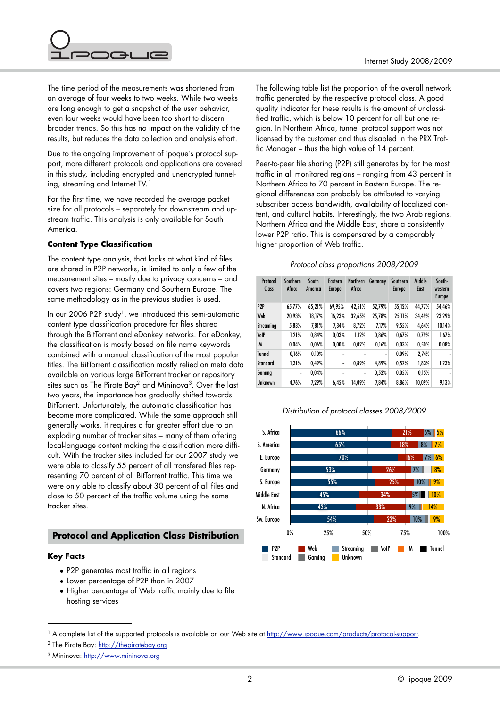

The time period of the measurements was shortened from an average of four weeks to two weeks. While two weeks are long enough to get a snapshot of the user behavior, even four weeks would have been too short to discern broader trends. So this has no impact on the validity of the results, but reduces the data collection and analysis effort.

Due to the ongoing improvement of ipoque's protocol support, more different protocols and applications are covered in this study, including encrypted and unencrypted tunnel-ing, streaming and Internet TV.<sup>[1](#page-1-0)</sup>

For the first time, we have recorded the average packet size for all protocols – separately for downstream and upstream traffic. This analysis is only available for South America.

# **Content Type Classification**

The content type analysis, that looks at what kind of files are shared in P2P networks, is limited to only a few of the measurement sites – mostly due to privacy concerns – and covers two regions: Germany and Southern Europe. The same methodology as in the previous studies is used.

In our 2006 P2P study<sup>1</sup>, we introduced this semi-automatic content type classification procedure for files shared through the BitTorrent and eDonkey networks. For eDonkey, the classification is mostly based on file name keywords combined with a manual classification of the most popular titles. The BitTorrent classification mostly relied on meta data available on various large BitTorrent tracker or repository sites such as The Pirate Bay<sup>2</sup> and Mininova<sup>[3](#page-1-2)</sup>. Over the last two years, the importance has gradually shifted towards BitTorrent. Unfortunately, the automatic classification has become more complicated. While the same approach still generally works, it requires a far greater effort due to an exploding number of tracker sites – many of them offering local-language content making the classification more difficult. With the tracker sites included for our 2007 study we were able to classify 55 percent of all transfered files representing 70 percent of all BitTorrent traffic. This time we were only able to classify about 30 percent of all files and close to 50 percent of the traffic volume using the same tracker sites.

# **Protocol and Application Class Distribution**

# **Key Facts**

- P2P generates most traffic in all regions
- Lower percentage of P2P than in 2007
- Higher percentage of Web traffic mainly due to file hosting services

The following table list the proportion of the overall network traffic generated by the respective protocol class. A good quality indicator for these results is the amount of unclassified traffic, which is below 10 percent for all but one region. In Northern Africa, tunnel protocol support was not licensed by the customer and thus disabled in the PRX Traffic Manager – thus the high value of 14 percent.

Peer-to-peer file sharing (P2P) still generates by far the most traffic in all monitored regions – ranging from 43 percent in Northern Africa to 70 percent in Eastern Europe. The regional differences can probably be attributed to varying subscriber access bandwidth, availability of localized content, and cultural habits. Interestingly, the two Arab regions, Northern Africa and the Middle East, share a consistently lower P2P ratio. This is compensated by a comparably higher proportion of Web traffic.

# *Protocol class proportions 2008/2009*

| Protocol<br>Class | Southern<br>Africa | South<br>America | Eastern<br><b>Europe</b> | <b>Northern</b><br>Africa | Germany | Southern<br><b>Europe</b> | Middle<br>East | South-<br>western<br><b>Europe</b> |
|-------------------|--------------------|------------------|--------------------------|---------------------------|---------|---------------------------|----------------|------------------------------------|
| P <sub>2P</sub>   | 65,77%             | 65,21%           | 69,95%                   | 42,51%                    | 52,79%  | 55,12%                    | 44,77%         | 54,46%                             |
| Web               | 20.93%             | 18,17%           | 16,23%                   | 32,65%                    | 25,78%  | 25,11%                    | 34,49%         | 23,29%                             |
| Streaming         | 5.83%              | 7.81%            | 7.34%                    | 8.72%                     | 7.17%   | 9,55%                     | 4.64%          | 10.14%                             |
| VolP              | 1.21%              | 0.84%            | 0.03%                    | 1.12%                     | 0.86%   | 0.67%                     | 0.79%          | 1,67%                              |
| IM                | 0.04%              | 0.06%            | 0.00%                    | 0.02%                     | 0.16%   | 0.03%                     | 0.50%          | 0,08%                              |
| <b>Tunnel</b>     | 0.16%              | 0.10%            | ۰                        |                           |         | 0.09%                     | 2,74%          |                                    |
| Standard          | 1,31%              | 0,49%            | $\qquad \qquad$          | 0.89%                     | 4,89%   | 0,52%                     | 1,83%          | 1,23%                              |
| Gaming            | ۰                  | 0.04%            | ۰                        | ۰                         | 0.52%   | 0.05%                     | 0,15%          | -                                  |
| <b>Unknown</b>    | 4.76%              | 7.29%            | 6.45%                    | 14,09%                    | 7.84%   | 8.86%                     | 10,09%         | 9,13%                              |

# *Distribution of protocol classes 2008/2009*



<span id="page-1-0"></span><sup>&</sup>lt;sup>1</sup> A complete list of the supported protocols is available on our Web site at [http://www.ipoque.com/products/protocol](http://www.ipoque.com/products/protocol-support)-support.

<span id="page-1-1"></span><sup>&</sup>lt;sup>2</sup> The Pirate Bay:<http://thepiratebay.org>

<span id="page-1-2"></span><sup>3</sup> Mininova: <http://www.mininova.org>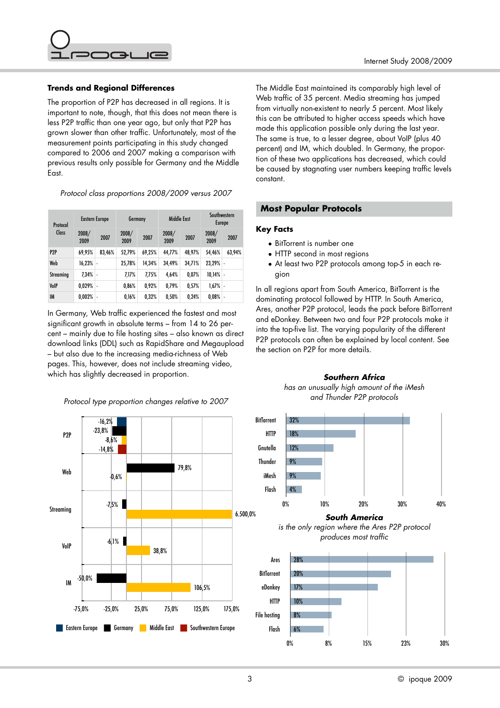

# **Trends and Regional Differences**

The proportion of P2P has decreased in all regions. It is important to note, though, that this does not mean there is less P2P traffic than one year ago, but only that P2P has grown slower than other traffic. Unfortunately, most of the measurement points participating in this study changed compared to 2006 and 2007 making a comparison with previous results only possible for Germany and the Middle East.

*Protocol class proportions 2008/2009 versus 2007*

| Protocol        |               | Eastern Europe | Germany       |        | Middle East   |        |               | Southwestern<br>Europe |
|-----------------|---------------|----------------|---------------|--------|---------------|--------|---------------|------------------------|
| Class           | 2008/<br>2009 | 2007           | 2008/<br>2009 | 2007   | 2008/<br>2009 | 2007   | 2008/<br>2009 | 2007                   |
| P <sub>2P</sub> | 69,95%        | 83,46%         | 52.79%        | 69,25% | 44.77%        | 48.97% | 54.46%        | 63,94%                 |
| Web             | 16,23%        | ä,             | 25,78%        | 14,34% | 34,49%        | 34,71% | 23.29%        | L,                     |
| Streaming       | $7.34\%$ -    |                | 7.17%         | 7,75%  | 4,64%         | 0.07%  | 10,14%        | ä,                     |
| VoIP            | $0.029%$ -    |                | 0,86%         | 0.92%  | 0.79%         | 0,57%  | 1,67%         | ä,                     |
| IM              | 0.002%        | ٠              | 0.16%         | 0,32%  | 0,50%         | 0,24%  | 0.08%         | ä,                     |

In Germany, Web traffic experienced the fastest and most significant growth in absolute terms – from 14 to 26 percent – mainly due to file hosting sites – also known as direct download links (DDL) such as RapidShare and Megaupload – but also due to the increasing media-richness of Web pages. This, however, does not include streaming video, which has slightly decreased in proportion.

*Protocol type proportion changes relative to 2007*



The Middle East maintained its comparably high level of Web traffic of 35 percent. Media streaming has jumped from virtually non-existent to nearly 5 percent. Most likely this can be attributed to higher access speeds which have made this application possible only during the last year. The same is true, to a lesser degree, about VoIP (plus 40 percent) and IM, which doubled. In Germany, the proportion of these two applications has decreased, which could be caused by stagnating user numbers keeping traffic levels constant.

# **Most Popular Protocols**

#### **Key Facts**

- BitTorrent is number one
- HTTP second in most regions
- At least two P2P protocols among top-5 in each region

In all regions apart from South America, BitTorrent is the dominating protocol followed by HTTP. In South America, Ares, another P2P protocol, leads the pack before BitTorrent and eDonkey. Between two and four P2P protocols make it into the top-five list. The varying popularity of the different P2P protocols can often be explained by local content. See the section on P2P for more details.

> *Southern Africa has an unusually high amount of the iMesh*



*South America* 

*is the only region where the Ares P2P protocol produces most traffic*

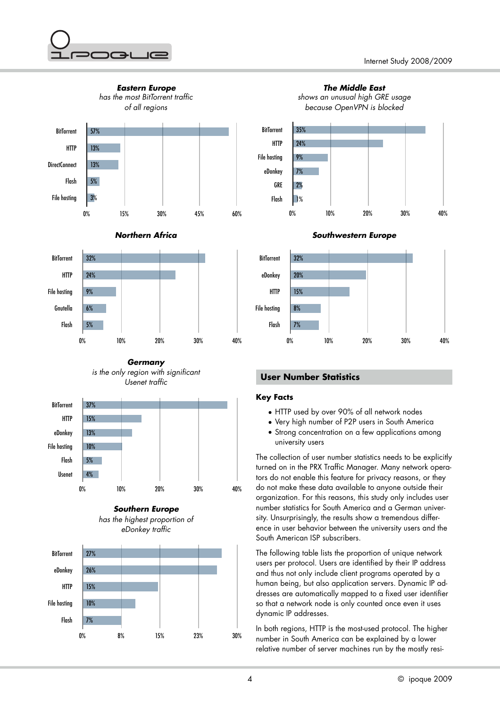











# **User Number Statistics**

# **Key Facts**

- HTTP used by over 90% of all network nodes
- Very high number of P2P users in South America
- Strong concentration on a few applications among university users

The collection of user number statistics needs to be explicitly turned on in the PRX Traffic Manager. Many network operators do not enable this feature for privacy reasons, or they do not make these data available to anyone outside their organization. For this reasons, this study only includes user number statistics for South America and a German university. Unsurprisingly, the results show a tremendous difference in user behavior between the university users and the South American ISP subscribers.

The following table lists the proportion of unique network users per protocol. Users are identified by their IP address and thus not only include client programs operated by a human being, but also application servers. Dynamic IP addresses are automatically mapped to a fixed user identifier so that a network node is only counted once even it uses dynamic IP addresses.

In both regions, HTTP is the most-used protocol. The higher number in South America can be explained by a lower relative number of server machines run by the mostly resi-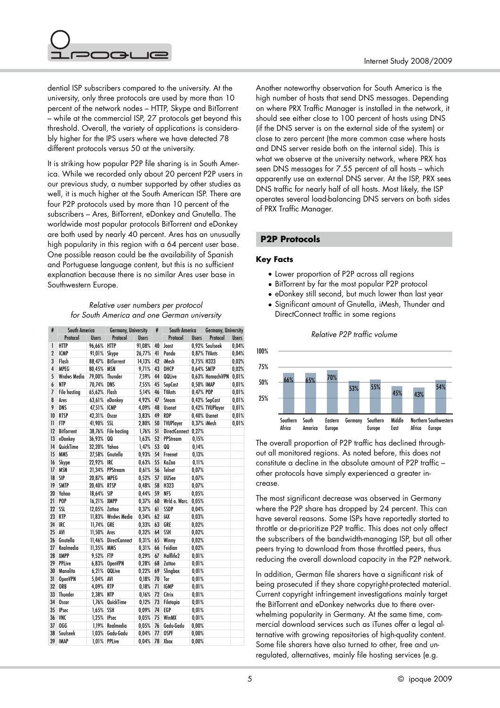

dential ISP subscribers compared to the university. At the university, only three protocols are used by more than 10 percent of the network nodes – HTTP, Skype and BitTorrent – while at the commercial ISP, 27 protocols get beyond this threshold. Overall, the variety of applications is considerably higher for the IPS users where we have detected 78 different protocols versus 50 at the university.

It is striking how popular P2P file sharing is in South America. While we recorded only about 20 percent P2P users in our previous study, a number supported by other studies as well, it is much higher at the South American ISP. There are four P2P protocols used by more than 10 percent of the subscribers – Ares, BitTorrent, eDonkey and Gnutella. The worldwide most popular protocols BitTorrent and eDonkey are both used by nearly 40 percent. Ares has an unusually high popularity in this region with a 64 percent user base. One possible reason could be the availability of Spanish and Portuguese language content, but this is no sufficient explanation because there is no similar Ares user base in Southwestern Europe.

# *Relative user numbers per protocol for South America and one German university*

| #            | South America       |              | Germany, University |              | #  | South America    |              | Germany, University |              |
|--------------|---------------------|--------------|---------------------|--------------|----|------------------|--------------|---------------------|--------------|
|              | Protocol            | <b>Users</b> | Protocol            | <b>Users</b> |    | Protocol         | <b>Users</b> | Protocol            | <b>Users</b> |
| 1            | <b>HTTP</b>         | 96,66%       | <b>HTTP</b>         | 91.08%       | 40 | Joost            |              | 0.92% Soulseek      | 0,04%        |
| $\mathbf 2$  | <b>ICMP</b>         | 91,01%       | Skype               | 26,77%       | 41 | Pando            |              | 0,87% TVAnts        | 0,04%        |
| 3            | Flash               | 88,47%       | <b>BitTorrent</b>   | 14,13%       | 42 | iMesh            | 0,75% H323   |                     | 0,02%        |
| 4            | <b>MPEG</b>         | 80,45%       | <b>MSN</b>          | 9,71%        | 43 | DHCP             | 0,64% SMTP   |                     | 0,02%        |
| 5            | <b>Wndws Media</b>  | 79,00%       | Thunder             | 7,59%        | 44 | QQLive           |              | 0,63% HamachiVPN    | 0,01%        |
| 6            | NTP                 | 70,74%       | DNS                 | 7,55%        | 45 | SopCast          | 0,50% IMAP   |                     | 0,01%        |
| 7            | <b>File hosting</b> | 65,62%       | Flash               | 5,14%        | 46 | <b>TVAnts</b>    | 0,47% POP    |                     | 0.01%        |
| 8            | Ares                | 63,61%       | eDonkey             | 4,92%        | 47 | Steam            |              | 0,42% SopCast       | 0,01%        |
| 9            | DNS                 | 47,51%       | <b>ICMP</b>         | 4,09%        | 48 | <b>Usenet</b>    |              | 0,42% TVUPlayer     | 0,01%        |
| 10           | <b>RTSP</b>         | 42,31%       | Oscar               | 3,83%        | 49 | <b>RDP</b>       |              | 0,40% Usenet        | 0,01%        |
| $\mathbf{I}$ | <b>FTP</b>          | 41,90%       | SSL                 | 2,80%        | 50 | <b>TVUPlayer</b> | 0,37% iMesh  |                     | 0,01%        |
| 12           | <b>BitTorrent</b>   | 38,76%       | <b>File hosting</b> | 1,76%        | 51 | DirectConnect    | 0,27%        |                     |              |
| 13           | eDonkey             | 36,93%       | QQ                  | 1,63%        | 52 | PPStream         | 0,15%        |                     |              |
| 14           | QuickTime           | 32,20%       | Yahoo               | 1,47%        | 53 | QQ               | 0,14%        |                     |              |
| 15           | <b>MMS</b>          | 27,58%       | Gnutella            | 0,93%        | 54 | Freenet          | 0,13%        |                     |              |
| 16           | Skype               | 22,92%       | IRC                 | 0,63%        | 55 | KaZaa            | 0,11%        |                     |              |
| 17           | <b>MSN</b>          | 21,34%       | <b>PPStream</b>     | 0.61%        | 56 | Telnet           | 0,07%        |                     |              |
| 18           | SIP                 | 20,87%       | <b>MPEG</b>         | 0,52%        | 57 | <b>UUSee</b>     | 0,07%        |                     |              |
| 19           | <b>SMTP</b>         | 20,40%       | <b>RTSP</b>         | 0,48%        | 58 | H323             | 0,07%        |                     |              |
| 20           | Yahoo               | 18,64%       | SIP                 | 0,44%        | 59 | <b>NFS</b>       | 0,05%        |                     |              |
| 21           | P <sub>OP</sub>     | 16,21%       | <b>XMPP</b>         | 0,37%        | 60 | Wrld o. Warc.    | 0,05%        |                     |              |
| 22           | SSL                 | 12,05%       | Zattoo              | 0,37%        | 61 | SSDP             | 0,04%        |                     |              |
| 23           | <b>RTP</b>          | 11,83%       | <b>Wndws Media</b>  | 0,34%        | 62 | IAX              | 0,03%        |                     |              |
| 24           | <b>IRC</b>          | 11,74%       | GRE                 | 0,33%        | 63 | GRE              | 0,02%        |                     |              |
| 25           | AVI                 | 11,50%       | Ares                | 0,32%        | 64 | <b>SSH</b>       | 0,02%        |                     |              |
| 26           | Gnutella            | 11,46%       | DirectConnect       | 0,31%        | 65 | Winny            | 0,02%        |                     |              |
| 27           | Realmedia           | 11,35%       | <b>MMS</b>          | 0,31%        | 66 | Feidian          | 0,02%        |                     |              |
| 28           | <b>XMPP</b>         | 9,52%        | <b>FTP</b>          | 0,29%        | 67 | Halflife2        | 0.01%        |                     |              |
| 29           | <b>PPLive</b>       | 6,83%        | <b>OpenVPN</b>      | 0,28%        | 68 | Zattoo           | 0.01%        |                     |              |
| 30           | <b>Manolito</b>     | 6,21%        | QQLive              | 0,22%        | 69 | Slingbox         | 0,01%        |                     |              |
| 31           | <b>OpenVPN</b>      | 5,04%        | AVI                 | 0,18%        | 70 | Tor              | 0,01%        |                     |              |
| 32           | <b>ORB</b>          | 4,09%        | <b>RTP</b>          | 0,18%        | 71 | <b>IGMP</b>      | 0,01%        |                     |              |
| 33           | <b>Thunder</b>      | 2,38%        | <b>NTP</b>          | 0,16%        | 72 | Citrix           | 0,01%        |                     |              |
| 34           | Oscar               | 1,76%        | QuickTime           | 0,12%        | 73 | Filetopia        | 0.01%        |                     |              |
| 35           | <b>IPsec</b>        | 1,65%        | <b>SSH</b>          | 0,09%        | 74 | EGP              | 0.01%        |                     |              |
| 36           | <b>VNC</b>          | 1,25%        | <b>IPsec</b>        | 0,05%        | 75 | WinMX            | 0,01%        |                     |              |
| 37           | OGG                 | 1,19%        | Realmedia           | 0,05%        | 76 | Gadu-Gadu        | 0.00%        |                     |              |
| 38           | Soulseek            | 1,03%        | Gadu-Gadu           | 0,04%        | 77 | <b>OSPF</b>      | 0.00%        |                     |              |
| 39           | IMAP                | $1,01\%$     | <b>PPLive</b>       | 0,04%        | 78 | Xbox             | 0,00%        |                     |              |

Another noteworthy observation for South America is the high number of hosts that send DNS messages. Depending on where PRX Traffic Manager is installed in the network, it should see either close to 100 percent of hosts using DNS (if the DNS server is on the external side of the system) or close to zero percent (the more common case where hosts and DNS server reside both on the internal side). This is what we observe at the university network, where PRX has seen DNS messages for 7.55 percent of all hosts – which apparently use an external DNS server. At the ISP, PRX sees DNS traffic for nearly half of all hosts. Most likely, the ISP operates several load-balancing DNS servers on both sides of PRX Traffic Manager.

# **P2P Protocols**

#### **Key Facts**

- Lower proportion of P2P across all regions
- BitTorrent by far the most popular P2P protocol
- eDonkey still second, but much lower than last year
- Significant amount of Gnutella, iMesh, Thunder and DirectConnect traffic in some regions

*Relative P2P traffic volume*



# The overall proportion of P2P traffic has declined throughout all monitored regions. As noted before, this does not constitute a decline in the absolute amount of P2P traffic – other protocols have simply experienced a greater increase.

The most significant decrease was observed in Germany where the P2P share has dropped by 24 percent. This can have several reasons. Some ISPs have reportedly started to throttle or de-prioritize P2P traffic. This does not only affect the subscribers of the bandwidth-managing ISP, but all other peers trying to download from those throttled peers, thus reducing the overall download capacity in the P2P network.

In addition, German file sharers have a significant risk of being prosecuted if they share copyright-protected material. Current copyright infringement investigations mainly target the BitTorrent and eDonkey networks due to there overwhelming popularity in Germany. At the same time, commercial download services such as iTunes offer a legal alternative with growing repositories of high-quality content. Some file sharers have also turned to other, free and unregulated, alternatives, mainly file hosting services (e.g.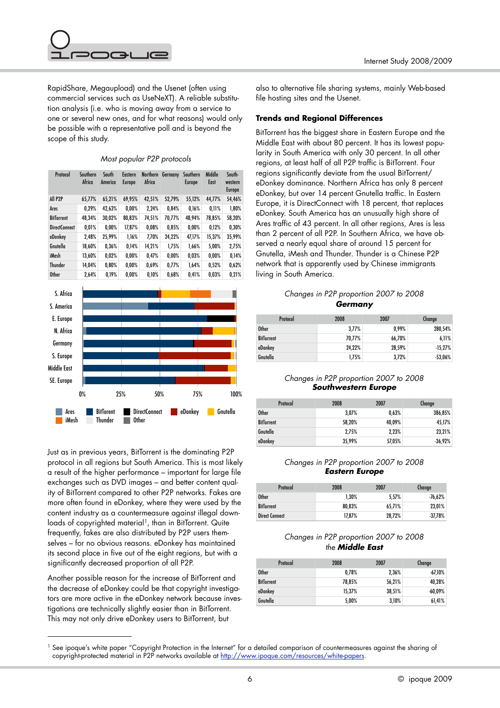

RapidShare, Megaupload) and the Usenet (often using commercial services such as UseNeXT). A reliable substitution analysis (i.e. who is moving away from a service to one or several new ones, and for what reasons) would only be possible with a representative poll and is beyond the scope of this study.

## *Most popular P2P protocols*

| Protocol             | Southern<br>Africa | South<br>America | <b>Eastern</b><br><b>Europe</b> | <b>Northern</b><br>Africa | Germany  | Southern<br><b>Europe</b> | Middle<br>East | South-<br>western<br><b>Europe</b> |
|----------------------|--------------------|------------------|---------------------------------|---------------------------|----------|---------------------------|----------------|------------------------------------|
| All P <sub>2P</sub>  | 65.77%             | 65,21%           | 69,95%                          | 42,51%                    | 52,79%   | 55,12%                    | 44,77%         | 54,46%                             |
| Ares                 | 0.29%              | 42,63%           | 0.00%                           | 2.24%                     | 0.84%    | 0.16%                     | 0.11%          | 1,80%                              |
| <b>BitTorrent</b>    | 48,34%             | 30,02%           | 80,83%                          | 74,51%                    | 70.77%   | 48.94%                    | 78,85%         | 58,20%                             |
| <b>DirectConnect</b> | 0.01%              | 0.00%            | 17,87%                          | 0.08%                     | 0,85%    | 0.00%                     | 0,12%          | 0.30%                              |
| eDonkey              | 2,48%              | 25,99%           | 1,16%                           | 7,70%                     | 24,22%   | 47,17%                    | 15,37%         | 35,99%                             |
| Gnutella             | 18,60%             | 0.36%            | 0.14%                           | 14.21%                    | 1.75%    | 1.66%                     | 5.00%          | 2,75%                              |
| iMesh                | 13.60%             | 0.02%            | 0.00%                           | 0.47%                     | $0,00\%$ | 0,03%                     | 0.00%          | 0.14%                              |
| <b>Thunder</b>       | 14.04%             | 0.80%            | $0.00\%$                        | 0,69%                     | 0,77%    | 1.64%                     | 0,52%          | 0.62%                              |
| <b>Other</b>         | 2.64%              | 0.19%            | 0.00%                           | 0.10%                     | 0.68%    | 0.41%                     | 0,03%          | 0.21%                              |



Just as in previous years, BitTorrent is the dominating P2P protocol in all regions but South America. This is most likely a result of the higher performance – important for large file exchanges such as DVD images – and better content quality of BitTorrent compared to other P2P networks. Fakes are more often found in eDonkey, where they were used by the content industry as a countermeasure against illegal down-loads of copyrighted material<sup>[1](#page-5-0)</sup>, than in BitTorrent. Quite frequently, fakes are also distributed by P2P users themselves – for no obvious reasons. eDonkey has maintained its second place in five out of the eight regions, but with a significantly decreased proportion of all P2P.

Another possible reason for the increase of BitTorrent and the decrease of eDonkey could be that copyright investigators are more active in the eDonkey network because investigations are technically slightly easier than in BitTorrent. This may not only drive eDonkey users to BitTorrent, but

also to alternative file sharing systems, mainly Web-based file hosting sites and the Usenet.

# **Trends and Regional Differences**

BitTorrent has the biggest share in Eastern Europe and the Middle East with about 80 percent. It has its lowest popularity in South America with only 30 percent. In all other regions, at least half of all P2P traffic is BitTorrent. Four regions significantly deviate from the usual BitTorrent/ eDonkey dominance. Northern Africa has only 8 percent eDonkey, but over 14 percent Gnutella traffic. In Eastern Europe, it is DirectConnect with 18 percent, that replaces eDonkey. South America has an unusually high share of Ares traffic of 43 percent. In all other regions, Ares is less than 2 percent of all P2P. In Southern Africa, we have observed a nearly equal share of around 15 percent for Gnutella, iMesh and Thunder. Thunder is a Chinese P2P network that is apparently used by Chinese immigrants living in South America.

# *Changes in P2P proportion 2007 to 2008 Germany*

| Protocol          | 2008   | 2007   | Change     |
|-------------------|--------|--------|------------|
| <b>Other</b>      | 3,77%  | 0.99%  | 280,54%    |
| <b>BitTorrent</b> | 70.77% | 66,70% | 6,11%      |
| eDonkey           | 24,22% | 28,59% | $-15,27%$  |
| Gnutella          | 1.75%  | 3.72%  | $-53,06\%$ |

# *Changes in P2P proportion 2007 to 2008 Southwestern Europe*

| Protocol          | 2008   | 2007   | Change    |
|-------------------|--------|--------|-----------|
| <b>Other</b>      | 3.07%  | 0.63%  | 386,85%   |
| <b>BitTorrent</b> | 58,20% | 40,09% | 45,17%    |
| Gnutella          | 2.75%  | 2,23%  | 23,21%    |
| eDonkey           | 35,99% | 57,05% | $-36,92%$ |

# *Changes in P2P proportion 2007 to 2008 Eastern Europe*

| Protocol              | 2008   | 2007   | Change     |
|-----------------------|--------|--------|------------|
| <b>Other</b>          | 1.30%  | 5.57%  | $-76,62\%$ |
| <b>BitTorrent</b>     | 80.83% | 65.71% | 23.01%     |
| <b>Direct Connect</b> | 17,87% | 28,72% | $-37.78%$  |

# *Changes in P2P proportion 2007 to 2008 the Middle East*

| Protocol          | 2008   | 2007   | Change     |
|-------------------|--------|--------|------------|
| <b>Other</b>      | 0,78%  | 2.36%  | $-67,10\%$ |
| <b>BitTorrent</b> | 78,85% | 56,21% | 40,28%     |
| eDonkey           | 15.37% | 38.51% | $-60.09\%$ |
| Gnutella          | 5,00%  | 3,10%  | 61,41%     |

<span id="page-5-0"></span><sup>&</sup>lt;sup>1</sup> See ipoque's white paper "Copyright Protection in the Internet" for a detailed comparison of countermeasures against the sharing of copyright-protected material in P2P networks available at [http://www.ipoque.com/resources/white](http://www.ipoque.com/resources/white-papers)-papers.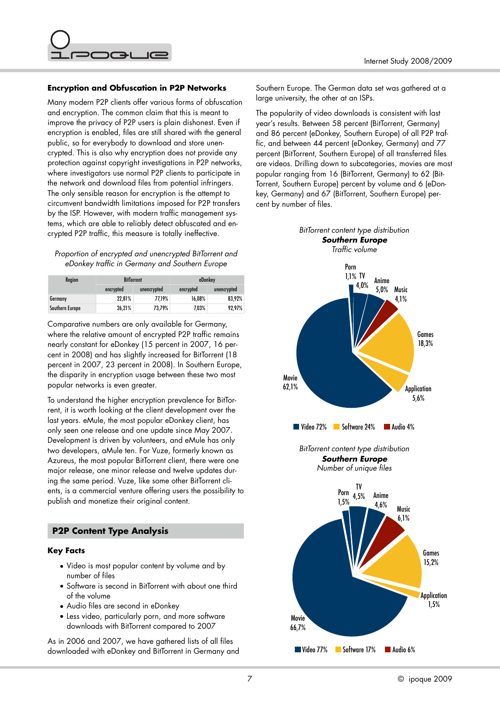

## **Encryption and Obfuscation in P2P Networks**

Many modern P2P clients offer various forms of obfuscation and encryption. The common claim that this is meant to improve the privacy of P2P users is plain dishonest. Even if encryption is enabled, files are still shared with the general public, so for everybody to download and store unencrypted. This is also why encryption does not provide any protection against copyright investigations in P2P networks, where investigators use normal P2P clients to participate in the network and download files from potential infringers. The only sensible reason for encryption is the attempt to circumvent bandwidth limitations imposed for P2P transfers by the ISP. However, with modern traffic management systems, which are able to reliably detect obfuscated and encrypted P2P traffic, this measure is totally ineffective.

#### *Proportion of encrypted and unencrypted BitTorrent and eDonkey traffic in Germany and Southern Europe*

| <b>Region</b>   | <b>BitTorrent</b><br>encrypted<br>unencrypted |        | eDonkey   |             |
|-----------------|-----------------------------------------------|--------|-----------|-------------|
|                 |                                               |        | encrypted | unencrypted |
| Germany         | 22.81%                                        | 77.19% | 16.08%    | 83.92%      |
| Southern Europe | 26,21%                                        | 73,79% | 7,03%     | 92,97%      |

Comparative numbers are only available for Germany, where the relative amount of encrypted P2P traffic remains nearly constant for eDonkey (15 percent in 2007, 16 percent in 2008) and has slightly increased for BitTorrent (18 percent in 2007, 23 percent in 2008). In Southern Europe, the disparity in encryption usage between these two most popular networks is even greater.

To understand the higher encryption prevalence for BitTorrent, it is worth looking at the client development over the last years. eMule, the most popular eDonkey client, has only seen one release and one update since May 2007. Development is driven by volunteers, and eMule has only two developers, aMule ten. For Vuze, formerly known as Azureus, the most popular BitTorrent client, there were one major release, one minor release and twelve updates during the same period. Vuze, like some other BitTorrent clients, is a commercial venture offering users the possibility to publish and monetize their original content.

# **P2P Content Type Analysis**

#### **Key Facts**

- Video is most popular content by volume and by number of files
- Software is second in BitTorrent with about one third of the volume
- Audio files are second in eDonkey
- Less video, particularly porn, and more software downloads with BitTorrent compared to 2007

As in 2006 and 2007, we have gathered lists of all files downloaded with eDonkey and BitTorrent in Germany and

Southern Europe. The German data set was gathered at a large university, the other at an ISPs.

The popularity of video downloads is consistent with last year's results. Between 58 percent (BitTorrent, Germany) and 86 percent (eDonkey, Southern Europe) of all P2P traffic, and between 44 percent (eDonkey, Germany) and 77 percent (BitTorrent, Southern Europe) of all transferred files are videos. Drilling down to subcategories, movies are most popular ranging from 16 (BitTorrent, Germany) to 62 (Bit-Torrent, Southern Europe) percent by volume and 6 (eDonkey, Germany) and 67 (BitTorrent, Southern Europe) percent by number of files.

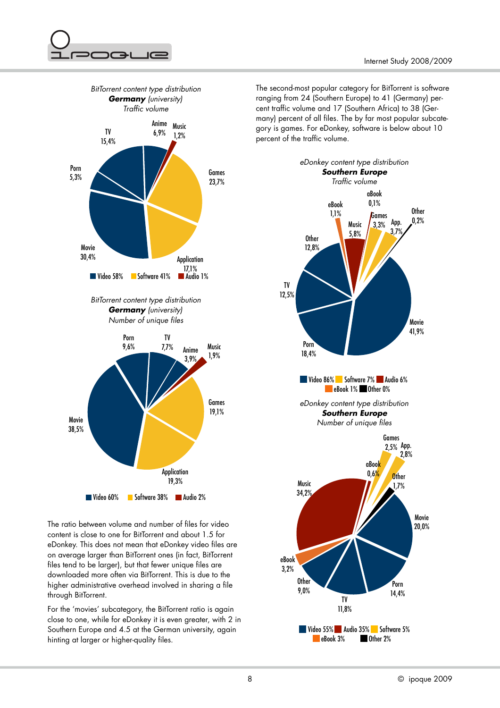



The ratio between volume and number of files for video content is close to one for BitTorrent and about 1.5 for eDonkey. This does not mean that eDonkey video files are on average larger than BitTorrent ones (in fact, BitTorrent files tend to be larger), but that fewer unique files are downloaded more often via BitTorrent. This is due to the higher administrative overhead involved in sharing a file through BitTorrent.

For the 'movies' subcategory, the BitTorrent ratio is again close to one, while for eDonkey it is even greater, with 2 in Southern Europe and 4.5 at the German university, again hinting at larger or higher-quality files.

The second-most popular category for BitTorrent is software ranging from 24 (Southern Europe) to 41 (Germany) percent traffic volume and 17 (Southern Africa) to 38 (Germany) percent of all files. The by far most popular subcategory is games. For eDonkey, software is below about 10 percent of the traffic volume.

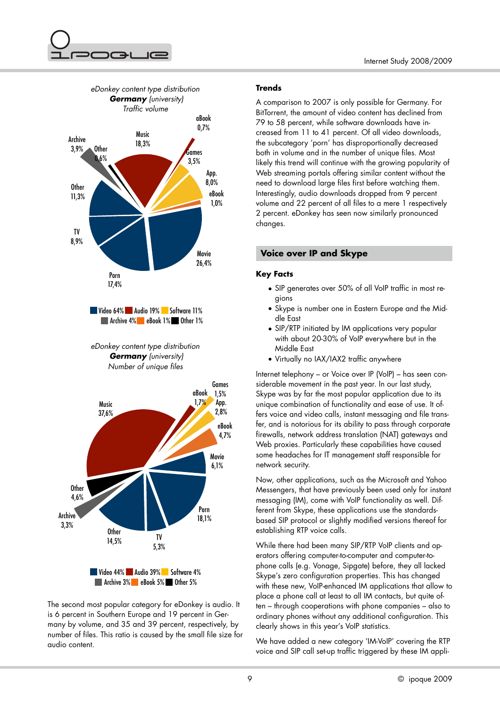





The second most popular category for eDonkey is audio. It is 6 percent in Southern Europe and 19 percent in Germany by volume, and 35 and 39 percent, respectively, by number of files. This ratio is caused by the small file size for audio content.

# **Trends**

A comparison to 2007 is only possible for Germany. For BitTorrent, the amount of video content has declined from 79 to 58 percent, while software downloads have increased from 11 to 41 percent. Of all video downloads, the subcategory 'porn' has disproportionally decreased both in volume and in the number of unique files. Most likely this trend will continue with the growing popularity of Web streaming portals offering similar content without the need to download large files first before watching them. Interestingly, audio downloads dropped from 9 percent volume and 22 percent of all files to a mere 1 respectively 2 percent. eDonkey has seen now similarly pronounced changes.

# **Voice over IP and Skype**

# **Key Facts**

- SIP generates over 50% of all VoIP traffic in most regions
- Skype is number one in Eastern Europe and the Middle East
- SIP/RTP initiated by IM applications very popular with about 20-30% of VoIP everywhere but in the Middle East
- Virtually no IAX/IAX2 traffic anywhere

Internet telephony – or Voice over IP (VoIP) – has seen considerable movement in the past year. In our last study, Skype was by far the most popular application due to its unique combination of functionality and ease of use. It offers voice and video calls, instant messaging and file transfer, and is notorious for its ability to pass through corporate firewalls, network address translation (NAT) gateways and Web proxies. Particularly these capabilities have caused some headaches for IT management staff responsible for network security.

Now, other applications, such as the Microsoft and Yahoo Messengers, that have previously been used only for instant messaging (IM), come with VoIP functionality as well. Different from Skype, these applications use the standardsbased SIP protocol or slightly modified versions thereof for establishing RTP voice calls.

While there had been many SIP/RTP VoIP clients and operators offering computer-to-computer and computer-tophone calls (e.g. Vonage, Sipgate) before, they all lacked Skype's zero configuration properties. This has changed with these new, VoIP-enhanced IM applications that allow to place a phone call at least to all IM contacts, but quite often – through cooperations with phone companies – also to ordinary phones without any additional configuration. This clearly shows in this year's VoIP statistics.

We have added a new category 'IM-VoIP' covering the RTP voice and SIP call set-up traffic triggered by these IM appli-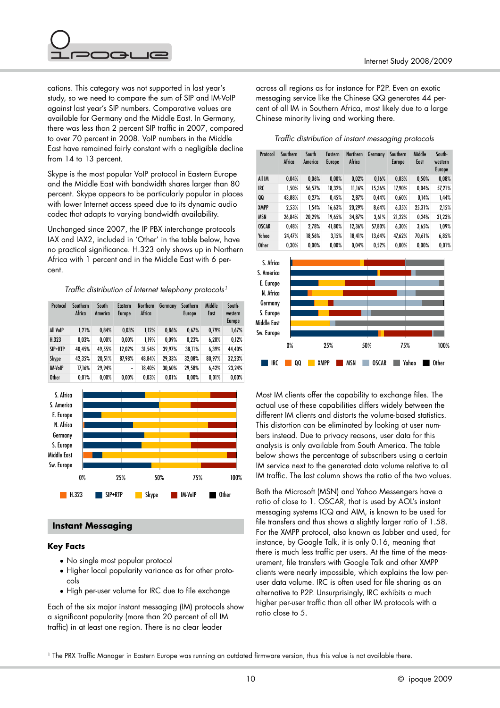

cations. This category was not supported in last year's study, so we need to compare the sum of SIP and IM-VoIP against last year's SIP numbers. Comparative values are available for Germany and the Middle East. In Germany, there was less than 2 percent SIP traffic in 2007, compared to over 70 percent in 2008. VoIP numbers in the Middle East have remained fairly constant with a negligible decline from 14 to 13 percent.

Skype is the most popular VoIP protocol in Eastern Europe and the Middle East with bandwidth shares larger than 80 percent. Skype appears to be particularly popular in places with lower Internet access speed due to its dynamic audio codec that adapts to varying bandwidth availability.

Unchanged since 2007, the IP PBX interchange protocols IAX and IAX2, included in 'Other' in the table below, have no practical significance. H.323 only shows up in Northern Africa with 1 percent and in the Middle East with 6 percent.

#### *Traffic distribution of Internet telephony protocols[1](#page-9-0)*

| Protocol       | Southern<br>Africa | South<br>America | <b>Eastern</b><br>Europe | <b>Northern</b><br>Africa | Germany | Southern<br>Europe | Middle<br>East | South-<br>western<br><b>Europe</b> |
|----------------|--------------------|------------------|--------------------------|---------------------------|---------|--------------------|----------------|------------------------------------|
| All VoIP       | 1.21%              | 0.84%            | 0.03%                    | 1.12%                     | 0.86%   | 0.67%              | 0.79%          | 1,67%                              |
| H.323          | 0.03%              | $0.00\%$         | 0.00%                    | 1.19%                     | 0.09%   | 0,23%              | 6,20%          | 0,12%                              |
| SIP+RTP        | 40.45%             | 49.55%           | 12.02%                   | 31,54%                    | 39.97%  | 38.11%             | 6.39%          | 44.40%                             |
| Skype          | 42.35%             | 20.51%           | 87.98%                   | 48.84%                    | 29.33%  | 32.08%             | 80.97%         | 32,23%                             |
| <b>IM-VoIP</b> | 17.16%             | 29.94%           | $\overline{\phantom{a}}$ | 18.40%                    | 30.60%  | 29.58%             | 6.42%          | 23,24%                             |
| <b>Other</b>   | 0.01%              | 0.00%            | 0.00%                    | 0.03%                     | 0.01%   | 0.00%              | 0.01%          | 0.00%                              |



#### **Instant Messaging**

#### **Key Facts**

- No single most popular protocol
- Higher local popularity variance as for other protocols
- High per-user volume for IRC due to file exchange

Each of the six major instant messaging (IM) protocols show a significant popularity (more than 20 percent of all IM traffic) in at least one region. There is no clear leader

across all regions as for instance for P2P. Even an exotic messaging service like the Chinese QQ generates 44 percent of all IM in Southern Africa, most likely due to a large Chinese minority living and working there.

#### *Traffic distribution of instant messaging protocols*

| Protocol     | Southern<br>Africa | South<br>America | Eastern<br><b>Europe</b> | <b>Northern</b><br>Africa | Germany | Southern<br>Europe | Middle<br>East | South-<br>western<br><b>Europe</b> |
|--------------|--------------------|------------------|--------------------------|---------------------------|---------|--------------------|----------------|------------------------------------|
| All IM       | 0,04%              | 0.06%            | 0.00%                    | 0.02%                     | 0.16%   | 0,03%              | 0,50%          | 0,08%                              |
| IRC          | 1,50%              | 56,57%           | 18,32%                   | 11,16%                    | 15,36%  | 17,90%             | 0,04%          | 57,21%                             |
| 00           | 43,88%             | 0.27%            | 0,45%                    | 2,87%                     | 0,44%   | 0,60%              | 0,14%          | 1,44%                              |
| <b>XMPP</b>  | 2,53%              | 1,54%            | 16,63%                   | 20,29%                    | 8,64%   | 6,35%              | 25,31%         | 2,15%                              |
| <b>MSN</b>   | 26,84%             | 20.29%           | 19,65%                   | 34.87%                    | 3.61%   | 21.22%             | 0.24%          | 31,23%                             |
| <b>OSCAR</b> | 0.48%              | 2,78%            | 41,80%                   | 12,36%                    | 57,80%  | 6,30%              | 3,65%          | $1.09\%$                           |
| Yahoo        | 24.47%             | 18,56%           | 3,15%                    | 18,41%                    | 13,64%  | 47.62%             | 70,61%         | 6,85%                              |
| <b>Other</b> | 0.30%              | 0.00%            | 0.00%                    | 0.04%                     | 0.52%   | 0,00%              | 0.00%          | 0.01%                              |



Most IM clients offer the capability to exchange files. The actual use of these capabilities differs widely between the different IM clients and distorts the volume-based statistics. This distortion can be eliminated by looking at user numbers instead. Due to privacy reasons, user data for this analysis is only available from South America. The table below shows the percentage of subscribers using a certain IM service next to the generated data volume relative to all IM traffic. The last column shows the ratio of the two values.

Both the Microsoft (MSN) and Yahoo Messengers have a ratio of close to 1. OSCAR, that is used by AOL's instant messaging systems ICQ and AIM, is known to be used for file transfers and thus shows a slightly larger ratio of 1.58. For the XMPP protocol, also known as Jabber and used, for instance, by Google Talk, it is only 0.16, meaning that there is much less traffic per users. At the time of the measurement, file transfers with Google Talk and other XMPP clients were nearly impossible, which explains the low peruser data volume. IRC is often used for file sharing as an alternative to P2P. Unsurprisingly, IRC exhibits a much higher per-user traffic than all other IM protocols with a ratio close to 5.

<span id="page-9-0"></span><sup>&</sup>lt;sup>1</sup> The PRX Traffic Manager in Eastern Europe was running an outdated firmware version, thus this value is not available there.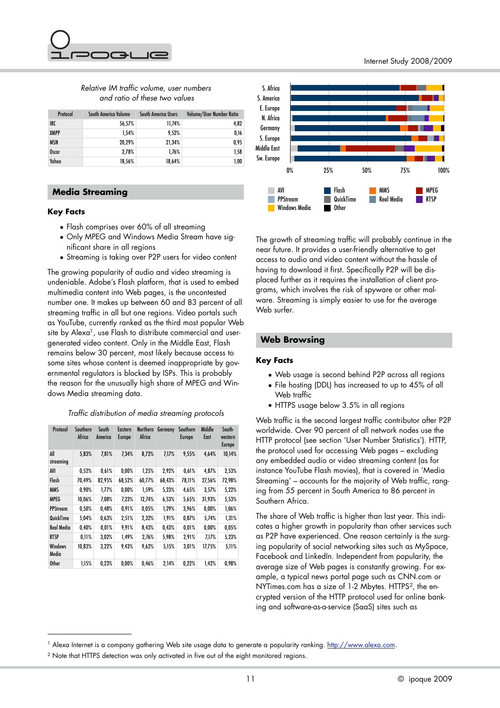

# *Relative IM traffic volume, user numbers and ratio of these two values*

| Protocol     | South America Volume | South America Users | Volume/User Number Ratio |
|--------------|----------------------|---------------------|--------------------------|
| IRC          | 56,57%               | 11,74%              | 4,82                     |
| <b>XMPP</b>  | 1.54%                | 9.52%               | 0,16                     |
| <b>MSN</b>   | 20,29%               | 21,34%              | 0,95                     |
| <b>Oscar</b> | 2.78%                | 1.76%               | 1,58                     |
| Yahoo        | 18,56%               | 18,64%              | 1,00                     |

# **Media Streaming**

#### **Key Facts**

- Flash comprises over 60% of all streaming
- Only MPEG and Windows Media Stream have significant share in all regions
- Streaming is taking over P2P users for video content

The growing popularity of audio and video streaming is undeniable. Adobe's Flash platform, that is used to embed multimedia content into Web pages, is the uncontested number one. It makes up between 60 and 83 percent of all streaming traffic in all but one regions. Video portals such as YouTube, currently ranked as the third most popular Web site by Alexa<sup>1</sup>, use Flash to distribute commercial and usergenerated video content. Only in the Middle East, Flash remains below 30 percent, most likely because access to some sites whose content is deemed inappropriate by governmental regulators is blocked by ISPs. This is probably the reason for the unusually high share of MPEG and Windows Media streaming data.

# *Traffic distribution of media streaming protocols*

| Protocol         | Southern<br>Africa | South<br>America | Eastern<br>Europe | <b>Northern</b><br>Africa | Germany | Southern<br>Europe | Middle<br>East | South-<br>western<br><b>Europe</b> |
|------------------|--------------------|------------------|-------------------|---------------------------|---------|--------------------|----------------|------------------------------------|
| All<br>streaming | 5,83%              | 7.81%            | 7.34%             | 8.72%                     | 7.17%   | 9.55%              | 4.64%          | 10,14%                             |
| AVI              | 0,52%              | 0.61%            | 0,00%             | 1,25%                     | 2,92%   | 0.61%              | 4,87%          | 2,53%                              |
| Flash            | 70,49%             | 82,95%           | 68,52%            | 60,77%                    | 68,43%  | 78,11%             | 27,56%         | 72,98%                             |
| <b>MMS</b>       | 0.90%              | 1.77%            | 0,00%             | 1,59%                     | 5,23%   | 4,65%              | 3,57%          | 5,22%                              |
| <b>MPEG</b>      | 10,06%             | 7,08%            | 7,23%             | 12,74%                    | 6,53%   | 5,65%              | 31,93%         | 5,53%                              |
| <b>PPStream</b>  | 0,50%              | 0,48%            | 0,91%             | 0,05%                     | 1,29%   | 3,96%              | 0.00%          | 1,06%                              |
| QuickTime        | 5,04%              | 0.63%            | 2,51%             | 2,32%                     | 1,91%   | 0.87%              | 5,74%          | 1,31%                              |
| Real Media       | 0,40%              | 0.01%            | 9,91%             | 8,43%                     | 0,43%   | 0.01%              | 0.00%          | 0,05%                              |
| <b>RTSP</b>      | 0.11%              | 3,02%            | 1.49%             | 2,76%                     | 5,98%   | 2,91%              | 7,17%          | 5,23%                              |
| Windows<br>Media | 10.83%             | 3,22%            | 9.43%             | 9,62%                     | 5,15%   | 3,01%              | 17,75%         | 5,11%                              |
| <b>Other</b>     | 1,15%              | 0,23%            | 0.00%             | 0.46%                     | 2,14%   | 0,22%              | 1.42%          | 0.98%                              |



The growth of streaming traffic will probably continue in the near future. It provides a user-friendly alternative to get access to audio and video content without the hassle of having to download it first. Specifically P2P will be displaced further as it requires the installation of client programs, which involves the risk of spyware or other malware. Streaming is simply easier to use for the average Web surfer

## **Web Browsing**

#### **Key Facts**

- Web usage is second behind P2P across all regions
- File hosting (DDL) has increased to up to 45% of all Web traffic
- HTTPS usage below 3.5% in all regions

Web traffic is the second largest traffic contributor after P2P worldwide. Over 90 percent of all network nodes use the HTTP protocol (see section 'User Number Statistics'). HTTP, the protocol used for accessing Web pages – excluding any embedded audio or video streaming content (as for instance YouTube Flash movies), that is covered in 'Media Streaming' – accounts for the majority of Web traffic, ranging from 55 percent in South America to 86 percent in Southern Africa.

The share of Web traffic is higher than last year. This indicates a higher growth in popularity than other services such as P2P have experienced. One reason certainly is the surging popularity of social networking sites such as MySpace, Facebook and LinkedIn. Independent from popularity, the average size of Web pages is constantly growing. For example, a typical news portal page such as CNN.com or NYTimes.com has a size of 1-2 Mbytes. HTTPS<sup>2</sup>, the encrypted version of the HTTP protocol used for online banking and software-as-a-service (SaaS) sites such as

<span id="page-10-0"></span><sup>&</sup>lt;sup>1</sup> Alexa Internet is a company gathering Web site usage data to generate a popularity ranking. <http://www.alexa.com>.

<span id="page-10-1"></span><sup>&</sup>lt;sup>2</sup> Note that HTTPS detection was only activated in five out of the eight monitored regions.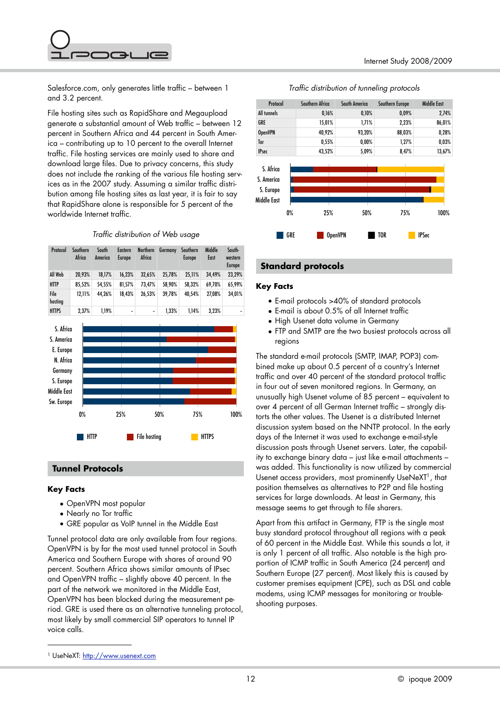

Salesforce.com, only generates little traffic – between 1 and 3.2 percent.

File hosting sites such as RapidShare and Megaupload generate a substantial amount of Web traffic – between 12 percent in Southern Africa and 44 percent in South America – contributing up to 10 percent to the overall Internet traffic. File hosting services are mainly used to share and download large files. Due to privacy concerns, this study does not include the ranking of the various file hosting services as in the 2007 study. Assuming a similar traffic distribution among file hosting sites as last year, it is fair to say that RapidShare alone is responsible for 5 percent of the worldwide Internet traffic.

*Traffic distribution of Web usage*

| Protocol        | Southern<br>Africa | South<br>America | Eastern<br><b>Europe</b> | <b>Northern</b><br>Africa | Germany | Southern<br>Europe | Middle<br>East | South-<br>western<br>Europe |
|-----------------|--------------------|------------------|--------------------------|---------------------------|---------|--------------------|----------------|-----------------------------|
| All Web         | 20.93%             | 18.17%           | 16.23%                   | 32.65%                    | 25.78%  | 25.11%             | 34.49%         | 23.29%                      |
| <b>HTTP</b>     | 85.52%             | 54.55%           | 81.57%                   | 73.47%                    | 58.90%  | 58.32%             | 69.70%         | 65.99%                      |
| File<br>hosting | 12.11%             | 44.26%           | 18.43%                   | 26.53%                    | 39.78%  | 40.54%             | 27.08%         | 34.01%                      |
| <b>HTTPS</b>    | 2.37%              | 1.19%            | -                        | ۰                         | 1.33%   | 1.14%              | 3.23%          |                             |



# **Tunnel Protocols**

#### **Key Facts**

- OpenVPN most popular
- Nearly no Tor traffic
- GRE popular as VoIP tunnel in the Middle East

Tunnel protocol data are only available from four regions. OpenVPN is by far the most used tunnel protocol in South America and Southern Europe with shares of around 90 percent. Southern Africa shows similar amounts of IPsec and OpenVPN traffic – slightly above 40 percent. In the part of the network we monitored in the Middle East, OpenVPN has been blocked during the measurement period. GRE is used there as an alternative tunneling protocol, most likely by small commercial SIP operators to tunnel IP voice calls.





#### **Standard protocols**

#### **Key Facts**

- E-mail protocols >40% of standard protocols
- E-mail is about 0.5% of all Internet traffic
- High Usenet data volume in Germany
- FTP and SMTP are the two busiest protocols across all regions

The standard e-mail protocols (SMTP, IMAP, POP3) combined make up about 0.5 percent of a country's Internet traffic and over 40 percent of the standard protocol traffic in four out of seven monitored regions. In Germany, an unusually high Usenet volume of 85 percent – equivalent to over 4 percent of all German Internet traffic – strongly distorts the other values. The Usenet is a distributed Internet discussion system based on the NNTP protocol. In the early days of the Internet it was used to exchange e-mail-style discussion posts through Usenet servers. Later, the capability to exchange binary data – just like e-mail attachments – was added. This functionality is now utilized by commercial Usenet access providers, most prominently UseNeXT<sup>1</sup>, that position themselves as alternatives to P2P and file hosting services for large downloads. At least in Germany, this message seems to get through to file sharers.

Apart from this artifact in Germany, FTP is the single most busy standard protocol throughout all regions with a peak of 60 percent in the Middle East. While this sounds a lot, it is only 1 percent of all traffic. Also notable is the high proportion of ICMP traffic in South America (24 percent) and Southern Europe (27 percent). Most likely this is caused by customer premises equipment (CPE), such as DSL and cable modems, using ICMP messages for monitoring or troubleshooting purposes.

<span id="page-11-0"></span><sup>1</sup> UseNeXT:<http://www.usenext.com>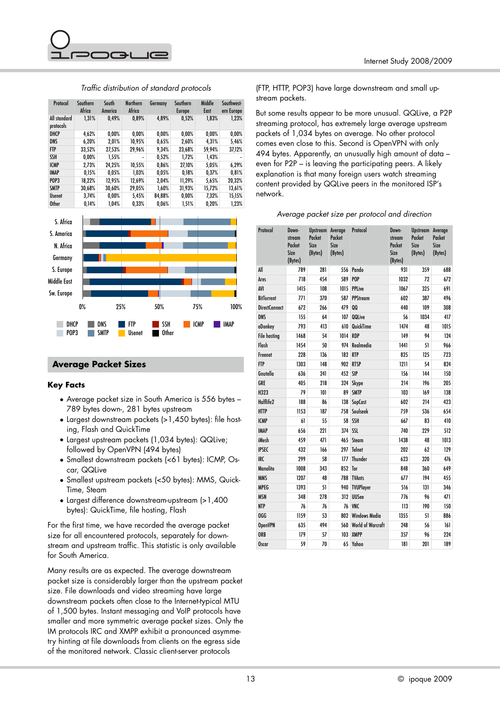

| Protocol                  | Southern | South    | <b>Northern</b> | Germany  | Southern      | Middle | Southwest- |
|---------------------------|----------|----------|-----------------|----------|---------------|--------|------------|
|                           | Africa   | America  | Africa          |          | <b>Europe</b> | East   | ern Europe |
| All standard<br>protocols | 1.31%    | 0.49%    | 0.89%           | 4.89%    | 0.52%         | 1.83%  | 1.23%      |
| DHCP                      | 4.62%    | 0.00%    | 0.00%           | 0.00%    | 0.00%         | 0.00%  | $0.00\%$   |
| <b>DNS</b>                | 6.20%    | 2.01%    | 10,95%          | 0,65%    | 2,60%         | 4.31%  | 5,46%      |
| <b>FTP</b>                | 33.52%   | 27,53%   | 29,96%          | 9.34%    | 23,68%        | 59,94% | 37,12%     |
| <b>SSH</b>                | 0.00%    | 1,55%    | -               | 0,52%    | 1,72%         | 1,43%  |            |
| <b>ICMP</b>               | 2.73%    | 24.25%   | 10.55%          | 0.86%    | 27.10%        | 5,05%  | 6.29%      |
| <b>IMAP</b>               | 0,15%    | 0.05%    | 1.03%           | 0.05%    | 0.18%         | 0.37%  | 0,81%      |
| <b>POP3</b>               | 18.22%   | 12.95%   | 12.69%          | 2.04%    | 11.29%        | 5.65%  | 20.32%     |
| <b>SMTP</b>               | 30.68%   | 30.60%   | 29.05%          | $1.60\%$ | 31,93%        | 15.72% | 13,61%     |
| <b>Usenet</b>             | 3,74%    | $0,00\%$ | 5,45%           | 84,88%   | 0.00%         | 7.32%  | 15,15%     |
| <b>Other</b>              | 0.14%    | 1.04%    | 0.33%           | 0.06%    | 1.51%         | 0.20%  | 1.23%      |

## *Traffic distribution of standard protocols*



# **Average Packet Sizes**

## **Key Facts**

- Average packet size in South America is 556 bytes 789 bytes down-, 281 bytes upstream
- Largest downstream packets (>1,450 bytes): file hosting, Flash and QuickTime
- Largest upstream packets (1,034 bytes): QQLive; followed by OpenVPN (494 bytes)
- Smallest downstream packets (<61 bytes): ICMP, Oscar, QQLive
- Smallest upstream packets (<50 bytes): MMS, Quick-Time, Steam
- Largest difference downstream-upstream (>1,400 bytes): QuickTime, file hosting, Flash

For the first time, we have recorded the average packet size for all encountered protocols, separately for downstream and upstream traffic. This statistic is only available for South America.

Many results are as expected. The average downstream packet size is considerably larger than the upstream packet size. File downloads and video streaming have large downstream packets often close to the Internet-typical MTU of 1,500 bytes. Instant messaging and VoIP protocols have smaller and more symmetric average packet sizes. Only the IM protocols IRC and XMPP exhibit a pronounced asymmetry hinting at file downloads from clients on the egress side of the monitored network. Classic client-server protocols

(FTP, HTTP, POP3) have large downstream and small upstream packets.

But some results appear to be more unusual. QQLive, a P2P streaming protocol, has extremely large average upstream packets of 1,034 bytes on average. No other protocol comes even close to this. Second is OpenVPN with only 494 bytes. Apparently, an unusually high amount of data – even for P2P – is leaving the participating peers. A likely explanation is that many foreign users watch streaming content provided by QQLive peers in the monitored ISP's network.

| Average packet size per protocol and direction |  |  |  |  |  |  |  |
|------------------------------------------------|--|--|--|--|--|--|--|
|------------------------------------------------|--|--|--|--|--|--|--|

| Protocol             | Down-<br>stream<br>Packet<br>Size<br>(Bytes) | <b>Upstream Average</b><br>Packet<br>Size<br>(Bytes) | Packet<br>Size<br>(Bytes) | Protocol                 | Down-<br>stream<br>Packet<br>Size<br>(Bytes) | Upstream Average<br>Packet<br><b>Size</b><br>(Bytes) | Packet<br><b>Size</b><br>(Bytes) |
|----------------------|----------------------------------------------|------------------------------------------------------|---------------------------|--------------------------|----------------------------------------------|------------------------------------------------------|----------------------------------|
| All                  | 789                                          | 281                                                  | 556                       | Pando                    | 931                                          | 359                                                  | 688                              |
| Ares                 | 718                                          | 454                                                  | 589                       | P <sub>OP</sub>          | 1032                                         | 72                                                   | 672                              |
| AVI                  | 1415                                         | 108                                                  | 1015                      | <b>PPLive</b>            | 1067                                         | 325                                                  | 691                              |
| <b>BitTorrent</b>    | 771                                          | 370                                                  | 587                       | <b>PPStream</b>          | 602                                          | 387                                                  | 496                              |
| <b>DirectConnect</b> | 672                                          | 266                                                  | 479                       | 00                       | 440                                          | 109                                                  | 308                              |
| <b>DNS</b>           | 155                                          | 64                                                   | 107                       | <b>QQLive</b>            | 56                                           | 1034                                                 | 417                              |
| eDonkey              | 793                                          | 413                                                  | 610                       | QuickTime                | 1474                                         | 48                                                   | 1015                             |
| <b>File hosting</b>  | 1468                                         | 54                                                   | 1014                      | <b>RDP</b>               | 149                                          | 94                                                   | 124                              |
| Flash                | 1454                                         | 50                                                   | 974                       | Realmedia                | 1441                                         | 51                                                   | 966                              |
| Freenet              | 228                                          | 136                                                  | 182                       | <b>RTP</b>               | 825                                          | 125                                                  | 723                              |
| <b>FTP</b>           | 1303                                         | 148                                                  | 902                       | <b>RTSP</b>              | 1211                                         | 54                                                   | 824                              |
| Gnutella             | 636                                          | 241                                                  | 452                       | <b>SIP</b>               | 156                                          | 144                                                  | 150                              |
| GRE                  | 405                                          | 218                                                  | 324                       | Skype                    | 214                                          | 196                                                  | 205                              |
| H323                 | 79                                           | 101                                                  | 89                        | <b>SMTP</b>              | 103                                          | 169                                                  | 138                              |
| Halflife2            | 188                                          | 86                                                   | 138                       | SopCast                  | 602                                          | 214                                                  | 423                              |
| <b>HTTP</b>          | 1153                                         | 187                                                  | 758                       | Soulseek                 | 759                                          | 536                                                  | 654                              |
| <b>ICMP</b>          | 61                                           | 55                                                   | 58                        | <b>SSH</b>               | 667                                          | 83                                                   | 410                              |
| <b>IMAP</b>          | 656                                          | 221                                                  | 374                       | <b>SSL</b>               | 740                                          | 229                                                  | 512                              |
| iMesh                | 459                                          | 471                                                  | 465                       | Steam                    | 1438                                         | 48                                                   | 1013                             |
| <b>IPSEC</b>         | 432                                          | 166                                                  | 297                       | <b>Telnet</b>            | 202                                          | 62                                                   | 129                              |
| <b>IRC</b>           | 299                                          | 58                                                   | 177                       | <b>Thunder</b>           | 623                                          | 320                                                  | 476                              |
| <b>Manolito</b>      | 1008                                         | 343                                                  | 852                       | Tor                      | 848                                          | 360                                                  | 649                              |
| <b>MMS</b>           | 1207                                         | 48                                                   | 788                       | <b>TVAnts</b>            | 677                                          | 194                                                  | 455                              |
| <b>MPEG</b>          | 1393                                         | 51                                                   | 940                       | <b>TVUPlayer</b>         | 516                                          | 131                                                  | 346                              |
| <b>MSN</b>           | 348                                          | 278                                                  | 312                       | <b>UUSee</b>             | 776                                          | 96                                                   | 471                              |
| <b>NTP</b>           | 76                                           | 76                                                   | 76                        | <b>VNC</b>               | 113                                          | 190                                                  | 150                              |
| OGG                  | 1159                                         | 53                                                   | 802                       | <b>Windows Media</b>     | 1355                                         | 51                                                   | 886                              |
| <b>OpenVPN</b>       | 635                                          | 494                                                  | 560                       | <b>World of Warcraft</b> | 248                                          | 56                                                   | 161                              |
| <b>ORB</b>           | 179                                          | 57                                                   | 103                       | <b>XMPP</b>              | 357                                          | 96                                                   | 224                              |
| <b>Oscar</b>         | 59                                           | 70                                                   |                           | 65 Yahoo                 | 181                                          | 201                                                  | 189                              |